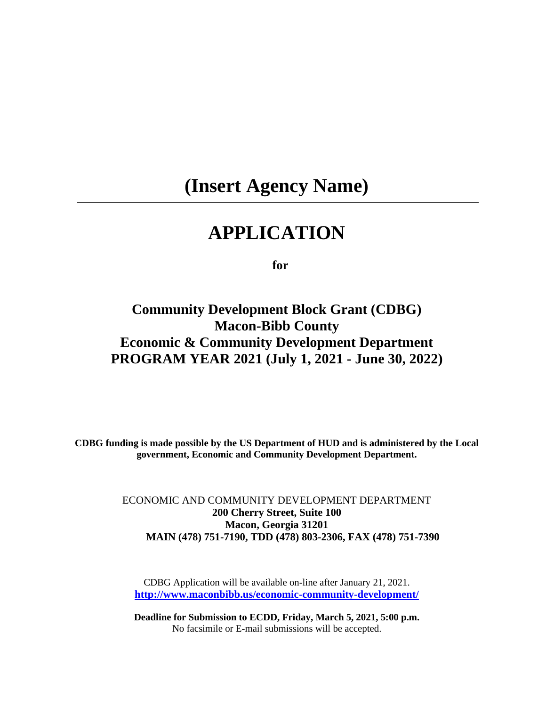# **(Insert Agency Name)**

# **APPLICATION**

 **for**

# **Community Development Block Grant (CDBG) Macon-Bibb County Economic & Community Development Department PROGRAM YEAR 2021 (July 1, 2021 - June 30, 2022)**

**CDBG funding is made possible by the US Department of HUD and is administered by the Local government, Economic and Community Development Department.**

### ECONOMIC AND COMMUNITY DEVELOPMENT DEPARTMENT **200 Cherry Street, Suite 100 Macon, Georgia 31201 MAIN (478) 751-7190, TDD (478) 803-2306, FAX (478) 751-7390**

CDBG Application will be available on-line after January 21, 2021. **[http://www.maconbibb.us/economic-community-development/](http://www.cityofmacon.net/citydept-ecd-neighborhoods)**

**Deadline for Submission to ECDD, Friday, March 5, 2021, 5:00 p.m.** No facsimile or E-mail submissions will be accepted.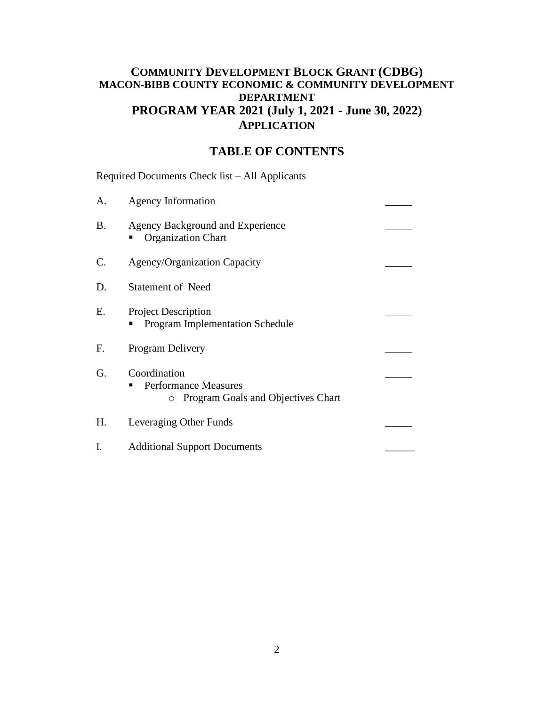## **COMMUNITY DEVELOPMENT BLOCK GRANT (CDBG) MACON-BIBB COUNTY ECONOMIC & COMMUNITY DEVELOPMENT DEPARTMENT PROGRAM YEAR 2021 (July 1, 2021 - June 30, 2022) APPLICATION**

## **TABLE OF CONTENTS**

Required Documents Check list – All Applicants

| А.              | <b>Agency Information</b>                                                                    |  |
|-----------------|----------------------------------------------------------------------------------------------|--|
| <b>B.</b>       | Agency Background and Experience<br><b>Organization Chart</b>                                |  |
| $\mathcal{C}$ . | Agency/Organization Capacity                                                                 |  |
| D.              | <b>Statement of Need</b>                                                                     |  |
| Ε.              | <b>Project Description</b><br><b>Program Implementation Schedule</b>                         |  |
| F.              | Program Delivery                                                                             |  |
| G.              | Coordination<br><b>Performance Measures</b><br>Program Goals and Objectives Chart<br>$\circ$ |  |
| H.              | Leveraging Other Funds                                                                       |  |
| I.              | <b>Additional Support Documents</b>                                                          |  |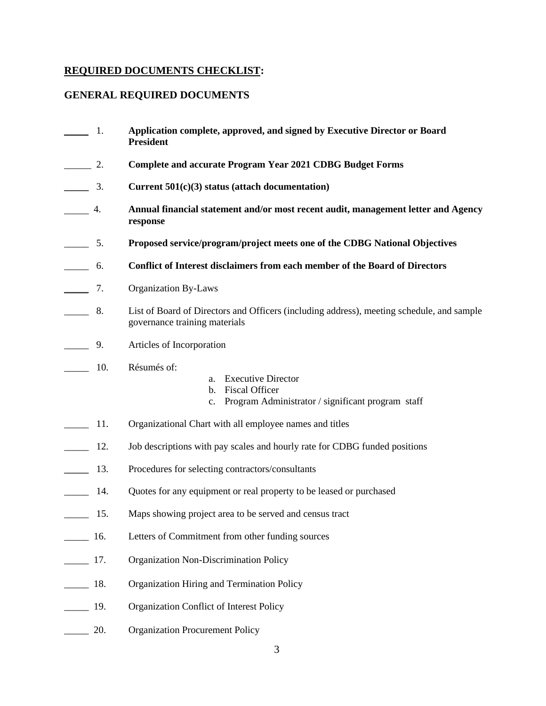## **REQUIRED DOCUMENTS CHECKLIST:**

## **GENERAL REQUIRED DOCUMENTS**

| 1.                                                                                                                                                                                                                                                                                                                                                                                                                          | Application complete, approved, and signed by Executive Director or Board<br><b>President</b>                                                        |  |  |  |
|-----------------------------------------------------------------------------------------------------------------------------------------------------------------------------------------------------------------------------------------------------------------------------------------------------------------------------------------------------------------------------------------------------------------------------|------------------------------------------------------------------------------------------------------------------------------------------------------|--|--|--|
| $\frac{1}{2}$ .                                                                                                                                                                                                                                                                                                                                                                                                             | <b>Complete and accurate Program Year 2021 CDBG Budget Forms</b>                                                                                     |  |  |  |
| $\frac{3}{2}$                                                                                                                                                                                                                                                                                                                                                                                                               | Current 501(c)(3) status (attach documentation)                                                                                                      |  |  |  |
| $\frac{1}{2}$ 4.                                                                                                                                                                                                                                                                                                                                                                                                            | Annual financial statement and/or most recent audit, management letter and Agency<br>response                                                        |  |  |  |
| $\frac{1}{\sqrt{2}}$ 5.                                                                                                                                                                                                                                                                                                                                                                                                     | Proposed service/program/project meets one of the CDBG National Objectives                                                                           |  |  |  |
| $\frac{1}{\sqrt{1-\frac{1}{2}}}\quad$ 6.                                                                                                                                                                                                                                                                                                                                                                                    | Conflict of Interest disclaimers from each member of the Board of Directors                                                                          |  |  |  |
| $\overline{\phantom{a}}$<br>7.                                                                                                                                                                                                                                                                                                                                                                                              | Organization By-Laws                                                                                                                                 |  |  |  |
| $\frac{1}{1-\frac{1}{1-\frac{1}{1-\frac{1}{1-\frac{1}{1-\frac{1}{1-\frac{1}{1-\frac{1}{1-\frac{1}{1-\frac{1}{1-\frac{1}{1-\frac{1}{1-\frac{1}{1-\frac{1}{1-\frac{1}{1-\frac{1}{1-\frac{1}{1-\frac{1}{1-\frac{1}{1-\frac{1}{1-\frac{1}{1-\frac{1}{1-\frac{1}{1-\frac{1}{1-\frac{1}{1-\frac{1}{1-\frac{1}{1-\frac{1}{1-\frac{1}{1-\frac{1}{1-\frac{1}{1-\frac{1}{1-\frac{1}{1-\frac{1}{1-\frac{1}{1-\frac{1}{1-\frac{1$<br>8. | List of Board of Directors and Officers (including address), meeting schedule, and sample<br>governance training materials                           |  |  |  |
| 9.<br>$\frac{1}{1}$                                                                                                                                                                                                                                                                                                                                                                                                         | Articles of Incorporation                                                                                                                            |  |  |  |
| $\overline{\phantom{a}}$<br>10.                                                                                                                                                                                                                                                                                                                                                                                             | Résumés of:<br><b>Executive Director</b><br>a.<br><b>Fiscal Officer</b><br>b.<br>Program Administrator / significant program staff<br>$\mathbf{c}$ . |  |  |  |
| 11.<br>$\overline{\phantom{a}}$                                                                                                                                                                                                                                                                                                                                                                                             | Organizational Chart with all employee names and titles                                                                                              |  |  |  |
| $\frac{12}{2}$                                                                                                                                                                                                                                                                                                                                                                                                              | Job descriptions with pay scales and hourly rate for CDBG funded positions                                                                           |  |  |  |
| $\overline{\phantom{a}}$<br>13.                                                                                                                                                                                                                                                                                                                                                                                             | Procedures for selecting contractors/consultants                                                                                                     |  |  |  |
| $\frac{1}{1}$<br>14.                                                                                                                                                                                                                                                                                                                                                                                                        | Quotes for any equipment or real property to be leased or purchased                                                                                  |  |  |  |
| $\frac{1}{1}$<br>15.                                                                                                                                                                                                                                                                                                                                                                                                        | Maps showing project area to be served and census tract                                                                                              |  |  |  |
| 16.<br>$\frac{1}{1}$                                                                                                                                                                                                                                                                                                                                                                                                        | Letters of Commitment from other funding sources                                                                                                     |  |  |  |
| 17.                                                                                                                                                                                                                                                                                                                                                                                                                         | Organization Non-Discrimination Policy                                                                                                               |  |  |  |

- \_\_\_\_\_ 18. Organization Hiring and Termination Policy
- \_\_\_\_\_ 19. Organization Conflict of Interest Policy
- **20.** Organization Procurement Policy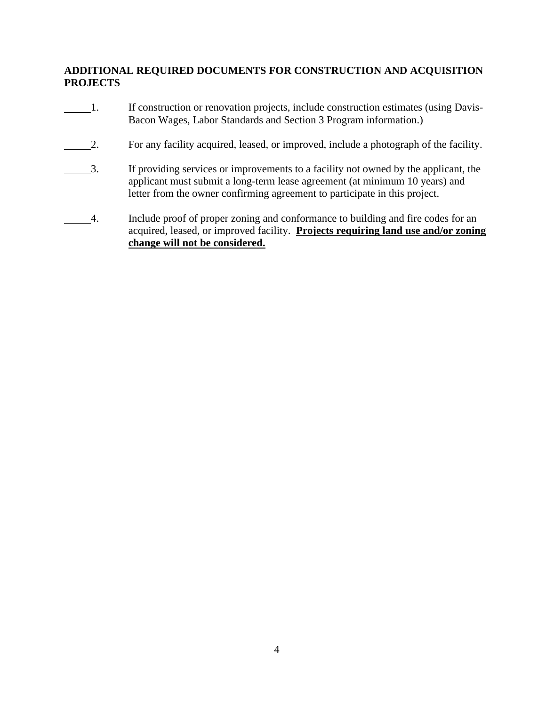### **ADDITIONAL REQUIRED DOCUMENTS FOR CONSTRUCTION AND ACQUISITION PROJECTS**

- 1. If construction or renovation projects, include construction estimates (using Davis-Bacon Wages, Labor Standards and Section 3 Program information.)
- 2. For any facility acquired, leased, or improved, include a photograph of the facility.
- 3. If providing services or improvements to a facility not owned by the applicant, the applicant must submit a long-term lease agreement (at minimum 10 years) and letter from the owner confirming agreement to participate in this project.
- 4. Include proof of proper zoning and conformance to building and fire codes for an acquired, leased, or improved facility. **Projects requiring land use and/or zoning change will not be considered.**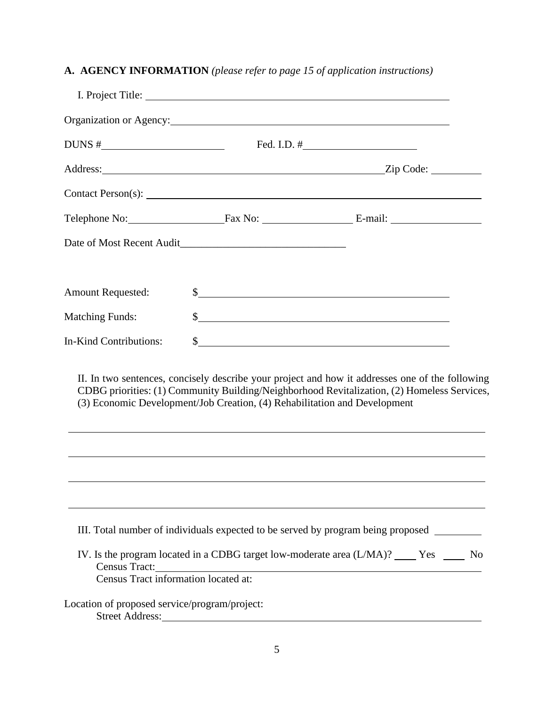**A. AGENCY INFORMATION** *(please refer to page 15 of application instructions)*

| Fed. I.D. $\#$                                                          |                                                                           |                                                                                                                                                                                                |  |  |
|-------------------------------------------------------------------------|---------------------------------------------------------------------------|------------------------------------------------------------------------------------------------------------------------------------------------------------------------------------------------|--|--|
|                                                                         |                                                                           |                                                                                                                                                                                                |  |  |
|                                                                         |                                                                           |                                                                                                                                                                                                |  |  |
|                                                                         |                                                                           |                                                                                                                                                                                                |  |  |
|                                                                         |                                                                           |                                                                                                                                                                                                |  |  |
| <b>Amount Requested:</b>                                                |                                                                           | $\frac{1}{2}$                                                                                                                                                                                  |  |  |
| <b>Matching Funds:</b>                                                  |                                                                           | $\frac{1}{2}$                                                                                                                                                                                  |  |  |
| In-Kind Contributions:                                                  |                                                                           | $\frac{1}{2}$                                                                                                                                                                                  |  |  |
|                                                                         | (3) Economic Development/Job Creation, (4) Rehabilitation and Development | II. In two sentences, concisely describe your project and how it addresses one of the following<br>CDBG priorities: (1) Community Building/Neighborhood Revitalization, (2) Homeless Services, |  |  |
|                                                                         |                                                                           | III. Total number of individuals expected to be served by program being proposed _________<br>IV. Is the program located in a CDBG target low-moderate area (L/MA)? Yes No                     |  |  |
| <b>Census Tract:</b><br>Census Tract information located at:            |                                                                           |                                                                                                                                                                                                |  |  |
| Location of proposed service/program/project:<br><b>Street Address:</b> |                                                                           |                                                                                                                                                                                                |  |  |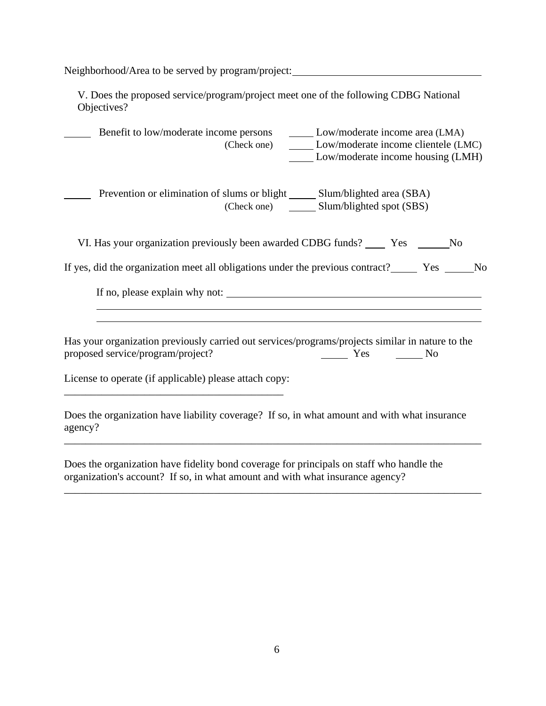Neighborhood/Area to be served by program/project:

V. Does the proposed service/program/project meet one of the following CDBG National Objectives?

Benefit to low/moderate income persons Low/moderate income area (LMA) (Check one) Low/moderate income clientele (LMC) Low/moderate income housing (LMH)

Prevention or elimination of slums or blight Slum/blighted area (SBA) (Check one) Slum/blighted spot (SBS)

VI. Has your organization previously been awarded CDBG funds? \_\_\_\_\_ Yes \_\_\_\_\_\_\_No

If yes, did the organization meet all obligations under the previous contract? Yes No

If no, please explain why not:

Has your organization previously carried out services/programs/projects similar in nature to the proposed service/program/project? Yes No

License to operate (if applicable) please attach copy: \_\_\_\_\_\_\_\_\_\_\_\_\_\_\_\_\_\_\_\_\_\_\_\_\_\_\_\_\_\_\_\_\_\_\_\_\_\_\_\_\_

Does the organization have liability coverage? If so, in what amount and with what insurance agency?

\_\_\_\_\_\_\_\_\_\_\_\_\_\_\_\_\_\_\_\_\_\_\_\_\_\_\_\_\_\_\_\_\_\_\_\_\_\_\_\_\_\_\_\_\_\_\_\_\_\_\_\_\_\_\_\_\_\_\_\_\_\_\_\_\_\_\_\_\_\_\_\_\_\_\_\_\_\_

\_\_\_\_\_\_\_\_\_\_\_\_\_\_\_\_\_\_\_\_\_\_\_\_\_\_\_\_\_\_\_\_\_\_\_\_\_\_\_\_\_\_\_\_\_\_\_\_\_\_\_\_\_\_\_\_\_\_\_\_\_\_\_\_\_\_\_\_\_\_\_\_\_\_\_\_\_\_

Does the organization have fidelity bond coverage for principals on staff who handle the organization's account? If so, in what amount and with what insurance agency?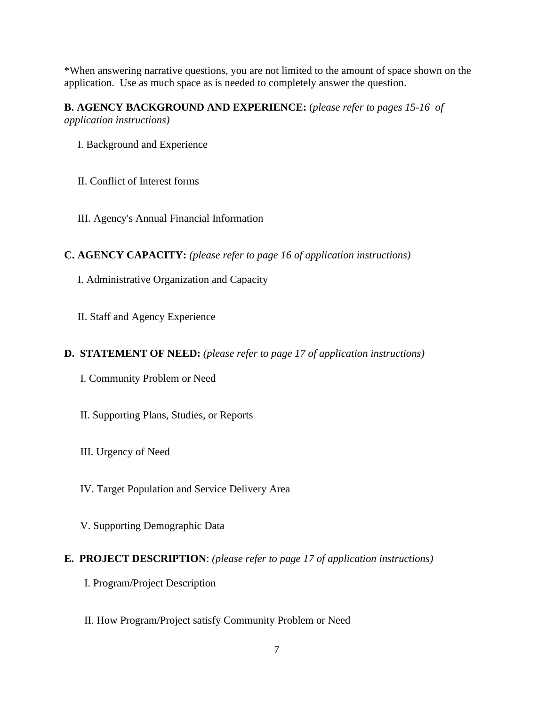\*When answering narrative questions, you are not limited to the amount of space shown on the application. Use as much space as is needed to completely answer the question.

**B. AGENCY BACKGROUND AND EXPERIENCE:** (*please refer to pages 15-16 of application instructions)*

- I. Background and Experience
- II. Conflict of Interest forms
- III. Agency's Annual Financial Information
- **C. AGENCY CAPACITY:** *(please refer to page 16 of application instructions)*
	- I. Administrative Organization and Capacity
	- II. Staff and Agency Experience

#### **D. STATEMENT OF NEED:** *(please refer to page 17 of application instructions)*

- I. Community Problem or Need
- II. Supporting Plans, Studies, or Reports
- III. Urgency of Need
- IV. Target Population and Service Delivery Area
- V. Supporting Demographic Data

#### **E. PROJECT DESCRIPTION**: *(please refer to page 17 of application instructions)*

- I. Program/Project Description
- II. How Program/Project satisfy Community Problem or Need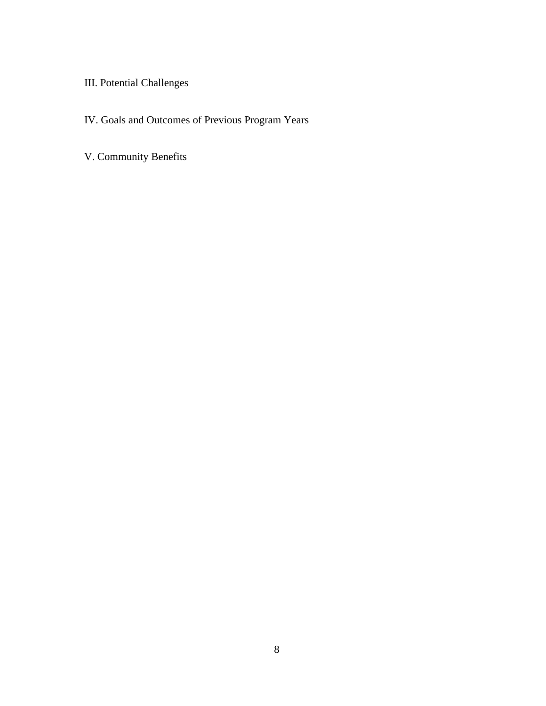# III. Potential Challenges

# IV. Goals and Outcomes of Previous Program Years

V. Community Benefits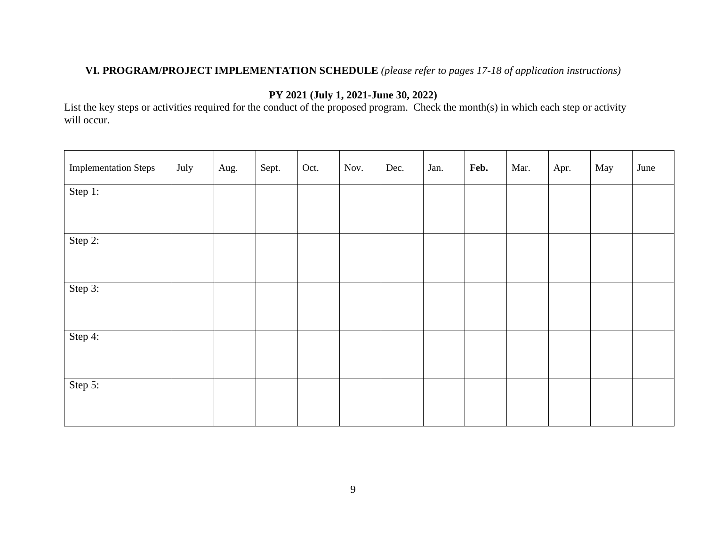## **VI. PROGRAM/PROJECT IMPLEMENTATION SCHEDULE** *(please refer to pages 17-18 of application instructions)*

## **PY 2021 (July 1, 2021-June 30, 2022)**

List the key steps or activities required for the conduct of the proposed program. Check the month(s) in which each step or activity will occur.

| <b>Implementation Steps</b> | July | Aug. | Sept. | Oct. | Nov. | Dec. | Jan. | Feb. | Mar. | Apr. | May | June |
|-----------------------------|------|------|-------|------|------|------|------|------|------|------|-----|------|
| Step 1:                     |      |      |       |      |      |      |      |      |      |      |     |      |
| Step 2:                     |      |      |       |      |      |      |      |      |      |      |     |      |
| Step 3:                     |      |      |       |      |      |      |      |      |      |      |     |      |
| Step 4:                     |      |      |       |      |      |      |      |      |      |      |     |      |
| Step 5:                     |      |      |       |      |      |      |      |      |      |      |     |      |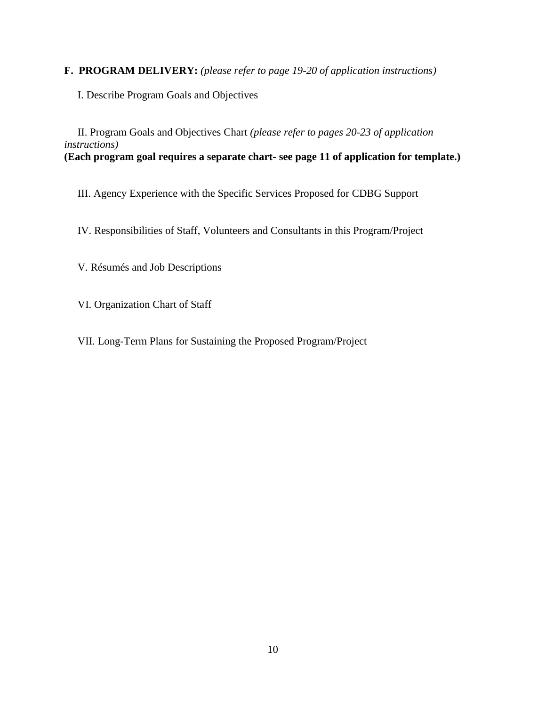### **F. PROGRAM DELIVERY:** *(please refer to page 19-20 of application instructions)*

I. Describe Program Goals and Objectives

 II. Program Goals and Objectives Chart *(please refer to pages 20-23 of application instructions)* **(Each program goal requires a separate chart- see page 11 of application for template.)**

III. Agency Experience with the Specific Services Proposed for CDBG Support

IV. Responsibilities of Staff, Volunteers and Consultants in this Program/Project

V. Résumés and Job Descriptions

VI. Organization Chart of Staff

VII. Long-Term Plans for Sustaining the Proposed Program/Project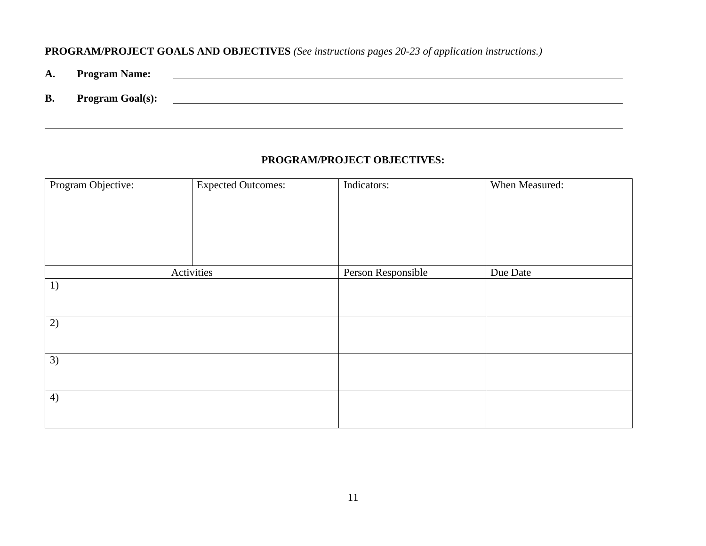## **PROGRAM/PROJECT GOALS AND OBJECTIVES** *(See instructions pages 20-23 of application instructions.)*

- **A. Program Name:**
- **B. Program Goal(s):**

#### **PROGRAM/PROJECT OBJECTIVES:**

<u>and the second control of the second control of the second control of the second control of the second control of the second control of the second control of the second control of the second control of the second control </u>

| Program Objective: | <b>Expected Outcomes:</b> | Indicators:        | When Measured: |
|--------------------|---------------------------|--------------------|----------------|
|                    |                           |                    |                |
|                    | Activities                | Person Responsible | Due Date       |
| 1)                 |                           |                    |                |
| 2)                 |                           |                    |                |
| 3)                 |                           |                    |                |
| 4)                 |                           |                    |                |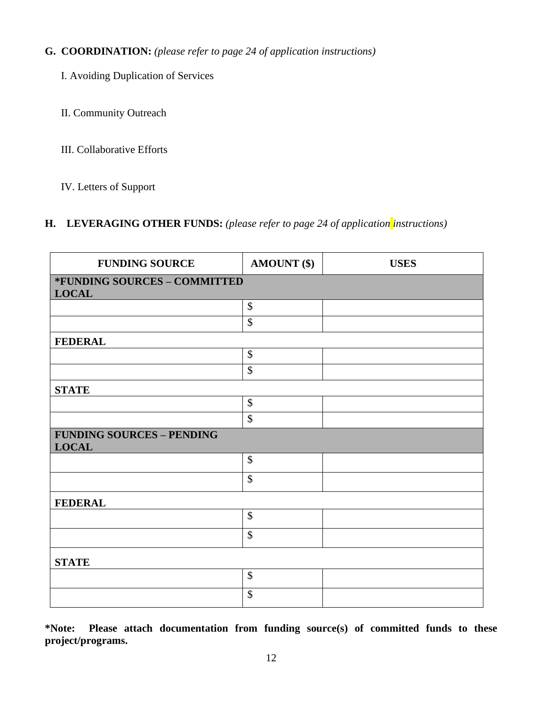## **G. COORDINATION:** *(please refer to page 24 of application instructions)*

- I. Avoiding Duplication of Services
- II. Community Outreach
- III. Collaborative Efforts

IV. Letters of Support

## **H. LEVERAGING OTHER FUNDS:** *(please refer to page 24 of application instructions)*

| <b>FUNDING SOURCE</b>                            | <b>AMOUNT (\$)</b>         | <b>USES</b> |  |  |  |  |
|--------------------------------------------------|----------------------------|-------------|--|--|--|--|
| *FUNDING SOURCES - COMMITTED<br><b>LOCAL</b>     |                            |             |  |  |  |  |
|                                                  | $\boldsymbol{\mathsf{S}}$  |             |  |  |  |  |
|                                                  | \$                         |             |  |  |  |  |
| <b>FEDERAL</b>                                   |                            |             |  |  |  |  |
|                                                  | $\boldsymbol{\mathsf{S}}$  |             |  |  |  |  |
|                                                  | \$                         |             |  |  |  |  |
| <b>STATE</b>                                     |                            |             |  |  |  |  |
|                                                  | $\boldsymbol{\mathsf{\$}}$ |             |  |  |  |  |
|                                                  | \$                         |             |  |  |  |  |
| <b>FUNDING SOURCES - PENDING</b><br><b>LOCAL</b> |                            |             |  |  |  |  |
|                                                  | $\boldsymbol{\mathsf{S}}$  |             |  |  |  |  |
|                                                  | \$                         |             |  |  |  |  |
| <b>FEDERAL</b>                                   |                            |             |  |  |  |  |
|                                                  | $\$\,$                     |             |  |  |  |  |
|                                                  | \$                         |             |  |  |  |  |
| <b>STATE</b>                                     |                            |             |  |  |  |  |
|                                                  | $\boldsymbol{\mathsf{S}}$  |             |  |  |  |  |
|                                                  | $\boldsymbol{\mathsf{S}}$  |             |  |  |  |  |

**\*Note: Please attach documentation from funding source(s) of committed funds to these project/programs.**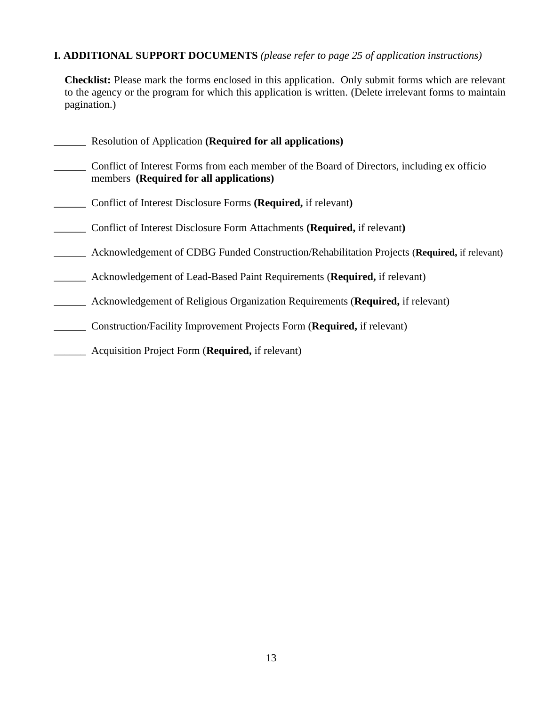## **I. ADDITIONAL SUPPORT DOCUMENTS** *(please refer to page 25 of application instructions)*

**Checklist:** Please mark the forms enclosed in this application. Only submit forms which are relevant to the agency or the program for which this application is written. (Delete irrelevant forms to maintain pagination.)

| Resolution of Application (Required for all applications)                                                                              |
|----------------------------------------------------------------------------------------------------------------------------------------|
| Conflict of Interest Forms from each member of the Board of Directors, including ex officio<br>members (Required for all applications) |
| Conflict of Interest Disclosure Forms (Required, if relevant)                                                                          |
| Conflict of Interest Disclosure Form Attachments (Required, if relevant)                                                               |
| Acknowledgement of CDBG Funded Construction/Rehabilitation Projects (Required, if relevant)                                            |
| Acknowledgement of Lead-Based Paint Requirements (Required, if relevant)                                                               |
| Acknowledgement of Religious Organization Requirements (Required, if relevant)                                                         |
| Construction/Facility Improvement Projects Form (Required, if relevant)                                                                |
| Acquisition Project Form (Required, if relevant)                                                                                       |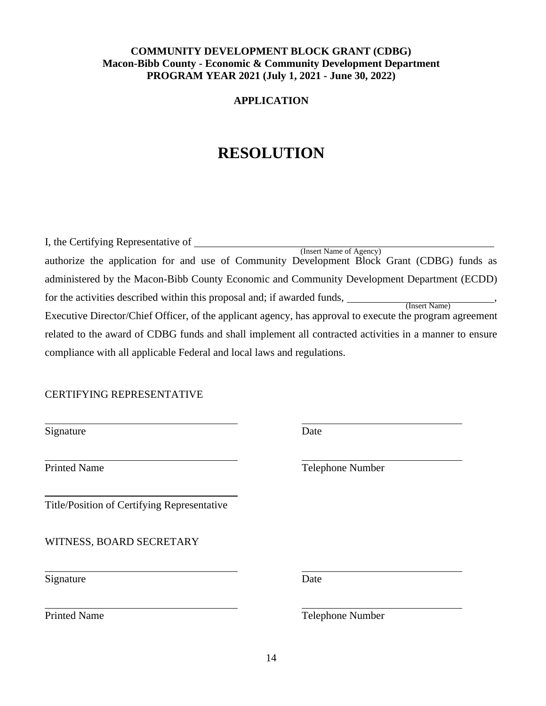## **COMMUNITY DEVELOPMENT BLOCK GRANT (CDBG) Macon-Bibb County - Economic & Community Development Department PROGRAM YEAR 2021 (July 1, 2021 - June 30, 2022)**

## **APPLICATION**

# **RESOLUTION**

| I, the Certifying Representative of                                                                      |
|----------------------------------------------------------------------------------------------------------|
| (Insert Name of Agency)                                                                                  |
| authorize the application for and use of Community Development Block Grant (CDBG) funds as               |
| administered by the Macon-Bibb County Economic and Community Development Department (ECDD)               |
| for the activities described within this proposal and; if awarded funds,<br>(Insert Name)                |
| Executive Director/Chief Officer, of the applicant agency, has approval to execute the program agreement |
| related to the award of CDBG funds and shall implement all contracted activities in a manner to ensure   |
| compliance with all applicable Federal and local laws and regulations.                                   |

### CERTIFYING REPRESENTATIVE

| Signature                                   | Date                    |
|---------------------------------------------|-------------------------|
| <b>Printed Name</b>                         | <b>Telephone Number</b> |
| Title/Position of Certifying Representative |                         |
| WITNESS, BOARD SECRETARY                    |                         |
| Signature                                   | Date                    |
| <b>Printed Name</b>                         | <b>Telephone Number</b> |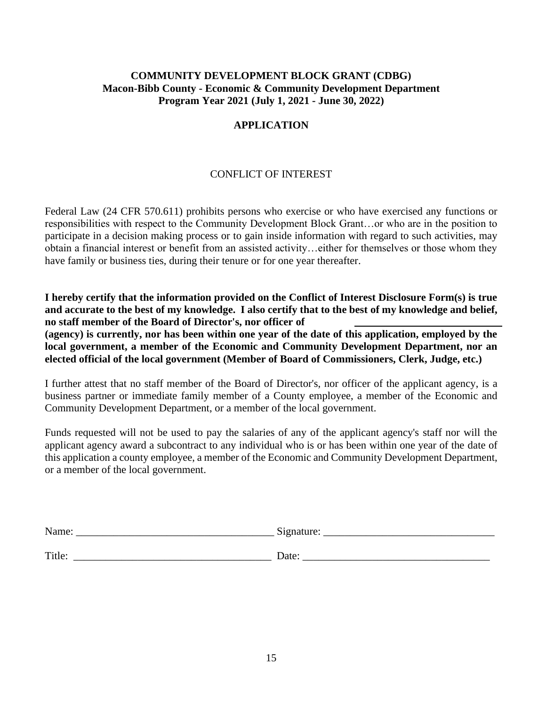## **COMMUNITY DEVELOPMENT BLOCK GRANT (CDBG) Macon-Bibb County - Economic & Community Development Department Program Year 2021 (July 1, 2021 - June 30, 2022)**

#### **APPLICATION**

#### CONFLICT OF INTEREST

Federal Law (24 CFR 570.611) prohibits persons who exercise or who have exercised any functions or responsibilities with respect to the Community Development Block Grant…or who are in the position to participate in a decision making process or to gain inside information with regard to such activities, may obtain a financial interest or benefit from an assisted activity…either for themselves or those whom they have family or business ties, during their tenure or for one year thereafter.

**I hereby certify that the information provided on the Conflict of Interest Disclosure Form(s) is true and accurate to the best of my knowledge. I also certify that to the best of my knowledge and belief, no staff member of the Board of Director's, nor officer of** 

**(agency) is currently, nor has been within one year of the date of this application, employed by the local government, a member of the Economic and Community Development Department, nor an elected official of the local government (Member of Board of Commissioners, Clerk, Judge, etc.)** 

I further attest that no staff member of the Board of Director's, nor officer of the applicant agency, is a business partner or immediate family member of a County employee, a member of the Economic and Community Development Department, or a member of the local government.

Funds requested will not be used to pay the salaries of any of the applicant agency's staff nor will the applicant agency award a subcontract to any individual who is or has been within one year of the date of this application a county employee, a member of the Economic and Community Development Department, or a member of the local government.

| Name:  | $\sim$<br>$\alpha$<br>Signature. |
|--------|----------------------------------|
| Title: | Date                             |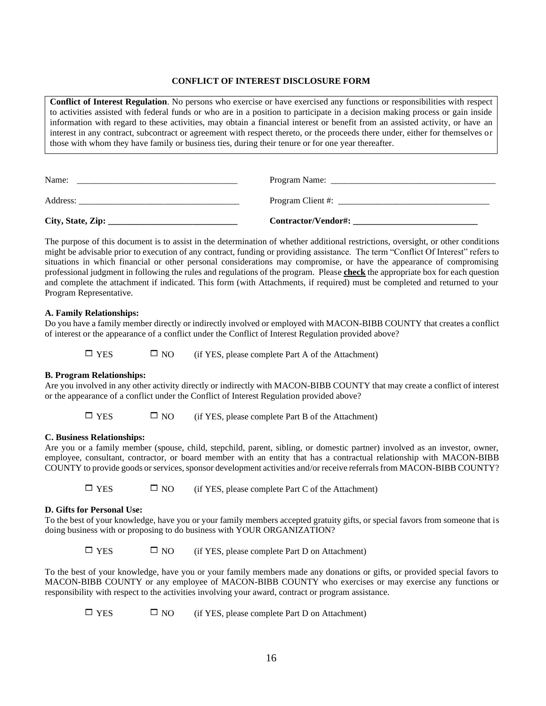#### **CONFLICT OF INTEREST DISCLOSURE FORM**

**Conflict of Interest Regulation**. No persons who exercise or have exercised any functions or responsibilities with respect to activities assisted with federal funds or who are in a position to participate in a decision making process or gain inside information with regard to these activities, may obtain a financial interest or benefit from an assisted activity, or have an interest in any contract, subcontract or agreement with respect thereto, or the proceeds there under, either for themselves or those with whom they have family or business ties, during their tenure or for one year thereafter.

| City, State, Zip: | Contractor/Vendor#: |
|-------------------|---------------------|
| Address:          | Program Client #:   |
| Name:             | Program Name:       |
|                   |                     |

The purpose of this document is to assist in the determination of whether additional restrictions, oversight, or other conditions might be advisable prior to execution of any contract, funding or providing assistance. The term "Conflict Of Interest" refers to situations in which financial or other personal considerations may compromise, or have the appearance of compromising professional judgment in following the rules and regulations of the program. Please **check** the appropriate box for each question and complete the attachment if indicated. This form (with Attachments, if required) must be completed and returned to your Program Representative.

#### **A. Family Relationships:**

Do you have a family member directly or indirectly involved or employed with MACON-BIBB COUNTY that creates a conflict of interest or the appearance of a conflict under the Conflict of Interest Regulation provided above?

 $\square$  YES  $\square$  NO (if YES, please complete Part A of the Attachment)

#### **B. Program Relationships:**

Are you involved in any other activity directly or indirectly with MACON-BIBB COUNTY that may create a conflict of interest or the appearance of a conflict under the Conflict of Interest Regulation provided above?

 $\square$  YES  $\square$  NO (if YES, please complete Part B of the Attachment)

#### **C. Business Relationships:**

Are you or a family member (spouse, child, stepchild, parent, sibling, or domestic partner) involved as an investor, owner, employee, consultant, contractor, or board member with an entity that has a contractual relationship with MACON-BIBB COUNTY to provide goods or services, sponsor development activities and/or receive referrals from MACON-BIBB COUNTY?

 $\square$  YES  $\square$  NO (if YES, please complete Part C of the Attachment)

#### **D. Gifts for Personal Use:**

To the best of your knowledge, have you or your family members accepted gratuity gifts, or special favors from someone that is doing business with or proposing to do business with YOUR ORGANIZATION?

 $\square$  YES  $\square$  NO (if YES, please complete Part D on Attachment)

To the best of your knowledge, have you or your family members made any donations or gifts, or provided special favors to MACON-BIBB COUNTY or any employee of MACON-BIBB COUNTY who exercises or may exercise any functions or responsibility with respect to the activities involving your award, contract or program assistance.

 $\square$  YES  $\square$  NO (if YES, please complete Part D on Attachment)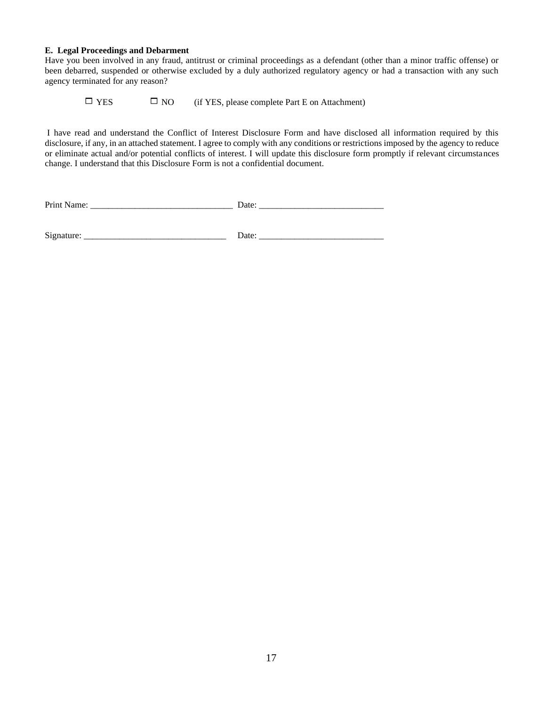#### **E. Legal Proceedings and Debarment**

Have you been involved in any fraud, antitrust or criminal proceedings as a defendant (other than a minor traffic offense) or been debarred, suspended or otherwise excluded by a duly authorized regulatory agency or had a transaction with any such agency terminated for any reason?

 $\square$  YES  $\square$  NO (if YES, please complete Part E on Attachment)

I have read and understand the Conflict of Interest Disclosure Form and have disclosed all information required by this disclosure, if any, in an attached statement. I agree to comply with any conditions or restrictions imposed by the agency to reduce or eliminate actual and/or potential conflicts of interest. I will update this disclosure form promptly if relevant circumstances change. I understand that this Disclosure Form is not a confidential document.

| $\mathbf{r}$ .<br>レー<br>.<br>.<br>. | ---- |
|-------------------------------------|------|
|-------------------------------------|------|

Signature: \_\_\_\_\_\_\_\_\_\_\_\_\_\_\_\_\_\_\_\_\_\_\_\_\_\_\_\_\_\_\_\_ Date: \_\_\_\_\_\_\_\_\_\_\_\_\_\_\_\_\_\_\_\_\_\_\_\_\_\_\_\_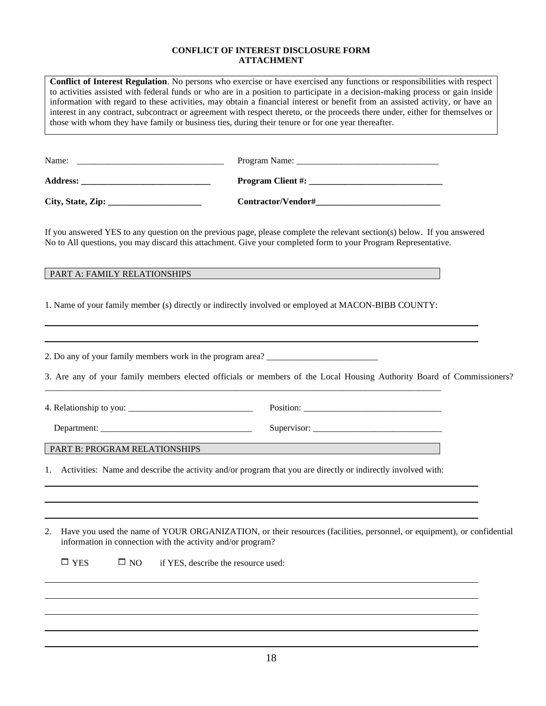#### **CONFLICT OF INTEREST DISCLOSURE FORM ATTACHMENT**

|                                                                   | <b>ALIACHMENI</b>                                                                                                                                                                                                                                                                                                                                                                                                                                                                                                                                                                                                                   |
|-------------------------------------------------------------------|-------------------------------------------------------------------------------------------------------------------------------------------------------------------------------------------------------------------------------------------------------------------------------------------------------------------------------------------------------------------------------------------------------------------------------------------------------------------------------------------------------------------------------------------------------------------------------------------------------------------------------------|
|                                                                   | Conflict of Interest Regulation. No persons who exercise or have exercised any functions or responsibilities with respect<br>to activities assisted with federal funds or who are in a position to participate in a decision-making process or gain inside<br>information with regard to these activities, may obtain a financial interest or benefit from an assisted activity, or have an<br>interest in any contract, subcontract or agreement with respect thereto, or the proceeds there under, either for themselves or<br>those with whom they have family or business ties, during their tenure or for one year thereafter. |
|                                                                   |                                                                                                                                                                                                                                                                                                                                                                                                                                                                                                                                                                                                                                     |
|                                                                   |                                                                                                                                                                                                                                                                                                                                                                                                                                                                                                                                                                                                                                     |
|                                                                   |                                                                                                                                                                                                                                                                                                                                                                                                                                                                                                                                                                                                                                     |
|                                                                   | If you answered YES to any question on the previous page, please complete the relevant section(s) below. If you answered<br>No to All questions, you may discard this attachment. Give your completed form to your Program Representative.                                                                                                                                                                                                                                                                                                                                                                                          |
| PART A: FAMILY RELATIONSHIPS                                      |                                                                                                                                                                                                                                                                                                                                                                                                                                                                                                                                                                                                                                     |
|                                                                   | 1. Name of your family member (s) directly or indirectly involved or employed at MACON-BIBB COUNTY:                                                                                                                                                                                                                                                                                                                                                                                                                                                                                                                                 |
|                                                                   | 2. Do any of your family members work in the program area?                                                                                                                                                                                                                                                                                                                                                                                                                                                                                                                                                                          |
|                                                                   | 3. Are any of your family members elected officials or members of the Local Housing Authority Board of Commissioners?                                                                                                                                                                                                                                                                                                                                                                                                                                                                                                               |
|                                                                   |                                                                                                                                                                                                                                                                                                                                                                                                                                                                                                                                                                                                                                     |
|                                                                   |                                                                                                                                                                                                                                                                                                                                                                                                                                                                                                                                                                                                                                     |
| PART B: PROGRAM RELATIONSHIPS                                     |                                                                                                                                                                                                                                                                                                                                                                                                                                                                                                                                                                                                                                     |
| 1.                                                                | Activities: Name and describe the activity and/or program that you are directly or indirectly involved with:                                                                                                                                                                                                                                                                                                                                                                                                                                                                                                                        |
| 2.<br>information in connection with the activity and/or program? | Have you used the name of YOUR ORGANIZATION, or their resources (facilities, personnel, or equipment), or confidential                                                                                                                                                                                                                                                                                                                                                                                                                                                                                                              |
| $\square$ YES<br>$\square$ NO                                     | if YES, describe the resource used:                                                                                                                                                                                                                                                                                                                                                                                                                                                                                                                                                                                                 |
|                                                                   |                                                                                                                                                                                                                                                                                                                                                                                                                                                                                                                                                                                                                                     |
|                                                                   |                                                                                                                                                                                                                                                                                                                                                                                                                                                                                                                                                                                                                                     |
|                                                                   |                                                                                                                                                                                                                                                                                                                                                                                                                                                                                                                                                                                                                                     |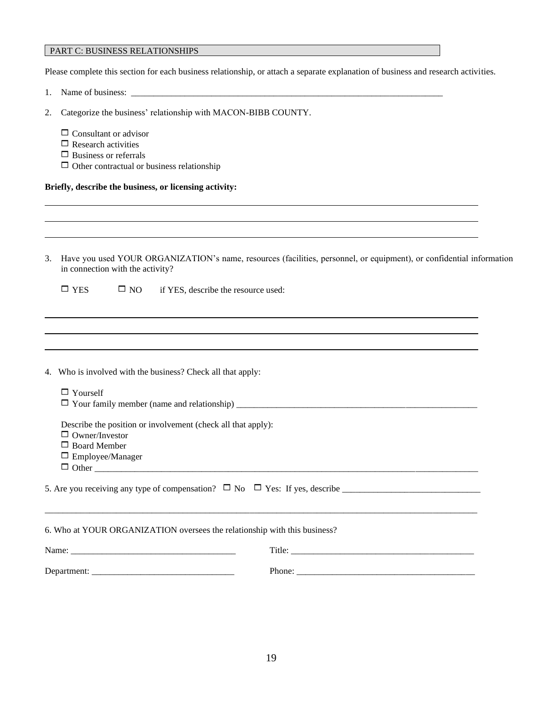#### PART C: BUSINESS RELATIONSHIPS

Please complete this section for each business relationship, or attach a separate explanation of business and research activities.

- 1. Name of business: \_\_\_\_\_\_\_\_\_\_\_\_\_\_\_\_\_\_\_\_\_\_\_\_\_\_\_\_\_\_\_\_\_\_\_\_\_\_\_\_\_\_\_\_\_\_\_\_\_\_\_\_\_\_\_\_\_\_\_\_\_\_\_\_\_\_\_\_\_\_
- 2. Categorize the business' relationship with MACON-BIBB COUNTY.
	- $\Box$  Consultant or advisor
	- $\square$  Research activities
	- $\square$  Business or referrals
	- $\Box$  Other contractual or business relationship

**Briefly, describe the business, or licensing activity:**

3. Have you used YOUR ORGANIZATION's name, resources (facilities, personnel, or equipment), or confidential information in connection with the activity?

| $\square$ YES<br>$\square$ NO | if YES, describe the resource used: |
|-------------------------------|-------------------------------------|
|-------------------------------|-------------------------------------|

- 4. Who is involved with the business? Check all that apply:
	- $\Box$  Yourself

| $-10000$                                          |
|---------------------------------------------------|
| $\Box$ Your family member (name and relationship) |

Describe the position or involvement (check all that apply):

- □ Owner/Investor
- □ Board Member
- $\square$  Employee/Manager
- $\Box$  Other

5. Are you receiving any type of compensation? No Yes: If yes, describe \_\_\_\_\_\_\_\_\_\_\_\_\_\_\_\_\_\_\_\_\_\_\_\_\_\_\_\_\_\_\_

| 6. Who at YOUR ORGANIZATION oversees the relationship with this business? |  |
|---------------------------------------------------------------------------|--|
|---------------------------------------------------------------------------|--|

Name: \_\_\_\_\_\_\_\_\_\_\_\_\_\_\_\_\_\_\_\_\_\_\_\_\_\_\_\_\_\_\_\_\_\_\_\_\_ Title: \_\_\_\_\_\_\_\_\_\_\_\_\_\_\_\_\_\_\_\_\_\_\_\_\_\_\_\_\_\_\_\_\_\_\_\_\_\_\_\_\_

| $\mathbf{\bar{r}}$<br>Depar .<br>.                                                                                                                                                                                                                                                                                                                                                                                                                                                     | $\sim$ |
|----------------------------------------------------------------------------------------------------------------------------------------------------------------------------------------------------------------------------------------------------------------------------------------------------------------------------------------------------------------------------------------------------------------------------------------------------------------------------------------|--------|
| $\begin{array}{cccccccccccccc} \multicolumn{4}{c}{} & \multicolumn{4}{c}{} & \multicolumn{4}{c}{} & \multicolumn{4}{c}{} & \multicolumn{4}{c}{} & \multicolumn{4}{c}{} & \multicolumn{4}{c}{} & \multicolumn{4}{c}{} & \multicolumn{4}{c}{} & \multicolumn{4}{c}{} & \multicolumn{4}{c}{} & \multicolumn{4}{c}{} & \multicolumn{4}{c}{} & \multicolumn{4}{c}{} & \multicolumn{4}{c}{} & \multicolumn{4}{c}{} & \multicolumn{4}{c}{} & \multicolumn{4}{c}{} & \multicolumn{4}{c}{} & \$ |        |

\_\_\_\_\_\_\_\_\_\_\_\_\_\_\_\_\_\_\_\_\_\_\_\_\_\_\_\_\_\_\_\_\_\_\_\_\_\_\_\_\_\_\_\_\_\_\_\_\_\_\_\_\_\_\_\_\_\_\_\_\_\_\_\_\_\_\_\_\_\_\_\_\_\_\_\_\_\_\_\_\_\_\_\_\_\_\_\_\_\_\_\_\_\_\_\_\_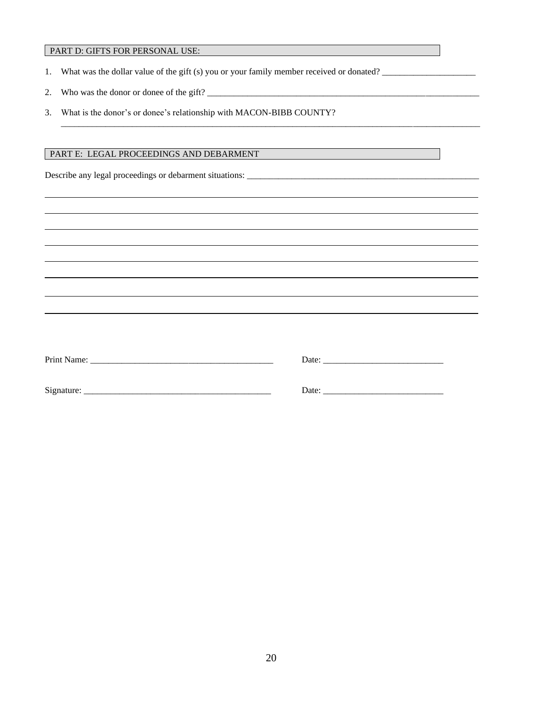#### PART D: GIFTS FOR PERSONAL USE:

1. What was the dollar value of the gift (s) you or your family member received or donated?

\_\_\_\_\_\_\_\_\_\_\_\_\_\_\_\_\_\_\_\_\_\_\_\_\_\_\_\_\_\_\_\_\_\_\_\_\_\_\_\_\_\_\_\_\_\_\_\_\_\_\_\_\_\_\_\_\_\_\_\_\_\_\_\_\_\_\_\_\_\_\_\_\_\_\_\_\_\_\_\_\_\_\_\_\_\_\_\_\_\_\_\_\_\_

- 2. Who was the donor or donee of the gift?
- 3. What is the donor's or donee's relationship with MACON-BIBB COUNTY?

#### PART E: LEGAL PROCEEDINGS AND DEBARMENT

Describe any legal proceedings or debarment situations: \_\_\_\_\_\_\_\_\_\_\_\_\_\_\_\_\_\_\_\_\_\_\_\_\_\_\_\_\_\_\_\_\_\_\_\_\_\_\_\_\_\_\_\_\_\_\_\_\_\_\_\_

Print Name: \_\_\_\_\_\_\_\_\_\_\_\_\_\_\_\_\_\_\_\_\_\_\_\_\_\_\_\_\_\_\_\_\_\_\_\_\_\_\_\_\_ Date: \_\_\_\_\_\_\_\_\_\_\_\_\_\_\_\_\_\_\_\_\_\_\_\_\_\_\_

Signature: \_\_\_\_\_\_\_\_\_\_\_\_\_\_\_\_\_\_\_\_\_\_\_\_\_\_\_\_\_\_\_\_\_\_\_\_\_\_\_\_\_\_ Date: \_\_\_\_\_\_\_\_\_\_\_\_\_\_\_\_\_\_\_\_\_\_\_\_\_\_\_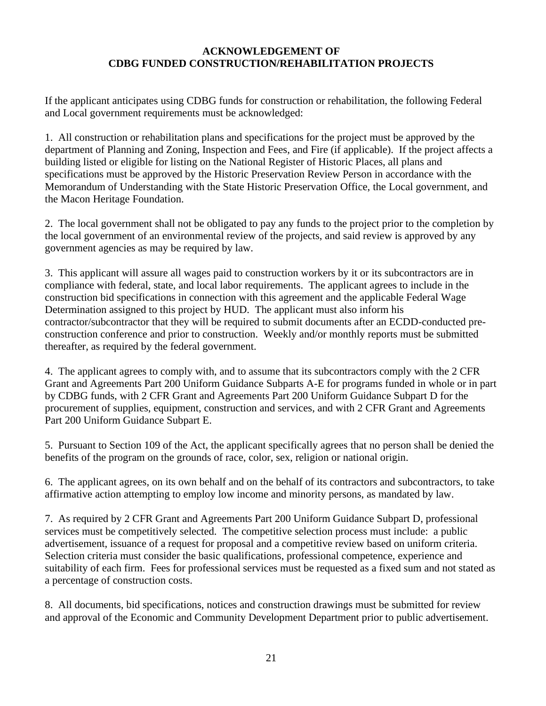#### **ACKNOWLEDGEMENT OF CDBG FUNDED CONSTRUCTION/REHABILITATION PROJECTS**

If the applicant anticipates using CDBG funds for construction or rehabilitation, the following Federal and Local government requirements must be acknowledged:

1. All construction or rehabilitation plans and specifications for the project must be approved by the department of Planning and Zoning, Inspection and Fees, and Fire (if applicable). If the project affects a building listed or eligible for listing on the National Register of Historic Places, all plans and specifications must be approved by the Historic Preservation Review Person in accordance with the Memorandum of Understanding with the State Historic Preservation Office, the Local government, and the Macon Heritage Foundation.

2. The local government shall not be obligated to pay any funds to the project prior to the completion by the local government of an environmental review of the projects, and said review is approved by any government agencies as may be required by law.

3. This applicant will assure all wages paid to construction workers by it or its subcontractors are in compliance with federal, state, and local labor requirements. The applicant agrees to include in the construction bid specifications in connection with this agreement and the applicable Federal Wage Determination assigned to this project by HUD. The applicant must also inform his contractor/subcontractor that they will be required to submit documents after an ECDD-conducted preconstruction conference and prior to construction. Weekly and/or monthly reports must be submitted thereafter, as required by the federal government.

4. The applicant agrees to comply with, and to assume that its subcontractors comply with the 2 CFR Grant and Agreements Part 200 Uniform Guidance Subparts A-E for programs funded in whole or in part by CDBG funds, with 2 CFR Grant and Agreements Part 200 Uniform Guidance Subpart D for the procurement of supplies, equipment, construction and services, and with 2 CFR Grant and Agreements Part 200 Uniform Guidance Subpart E.

5. Pursuant to Section 109 of the Act, the applicant specifically agrees that no person shall be denied the benefits of the program on the grounds of race, color, sex, religion or national origin.

6. The applicant agrees, on its own behalf and on the behalf of its contractors and subcontractors, to take affirmative action attempting to employ low income and minority persons, as mandated by law.

7. As required by 2 CFR Grant and Agreements Part 200 Uniform Guidance Subpart D, professional services must be competitively selected. The competitive selection process must include: a public advertisement, issuance of a request for proposal and a competitive review based on uniform criteria. Selection criteria must consider the basic qualifications, professional competence, experience and suitability of each firm. Fees for professional services must be requested as a fixed sum and not stated as a percentage of construction costs.

8. All documents, bid specifications, notices and construction drawings must be submitted for review and approval of the Economic and Community Development Department prior to public advertisement.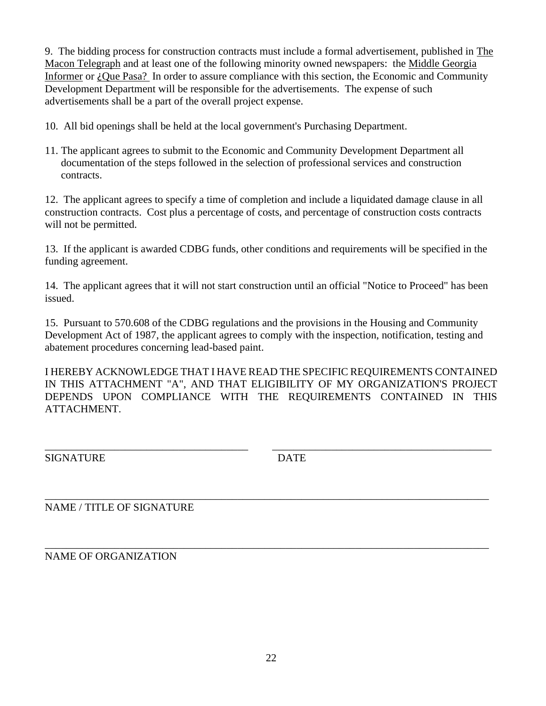9. The bidding process for construction contracts must include a formal advertisement, published in The Macon Telegraph and at least one of the following minority owned newspapers: the Middle Georgia Informer or ¿Que Pasa? In order to assure compliance with this section, the Economic and Community Development Department will be responsible for the advertisements. The expense of such advertisements shall be a part of the overall project expense.

10. All bid openings shall be held at the local government's Purchasing Department.

11. The applicant agrees to submit to the Economic and Community Development Department all documentation of the steps followed in the selection of professional services and construction contracts.

12. The applicant agrees to specify a time of completion and include a liquidated damage clause in all construction contracts. Cost plus a percentage of costs, and percentage of construction costs contracts will not be permitted.

13. If the applicant is awarded CDBG funds, other conditions and requirements will be specified in the funding agreement.

14. The applicant agrees that it will not start construction until an official "Notice to Proceed" has been issued.

15. Pursuant to 570.608 of the CDBG regulations and the provisions in the Housing and Community Development Act of 1987, the applicant agrees to comply with the inspection, notification, testing and abatement procedures concerning lead-based paint.

I HEREBY ACKNOWLEDGE THAT I HAVE READ THE SPECIFIC REQUIREMENTS CONTAINED IN THIS ATTACHMENT "A", AND THAT ELIGIBILITY OF MY ORGANIZATION'S PROJECT DEPENDS UPON COMPLIANCE WITH THE REQUIREMENTS CONTAINED IN THIS ATTACHMENT.

SIGNATURE DATE

\_\_\_\_\_\_\_\_\_\_\_\_\_\_\_\_\_\_\_\_\_\_\_\_\_\_\_\_\_\_\_\_\_\_\_\_\_\_ \_\_\_\_\_\_\_\_\_\_\_\_\_\_\_\_\_\_\_\_\_\_\_\_\_\_\_\_\_\_\_\_\_\_\_\_\_\_\_\_\_

\_\_\_\_\_\_\_\_\_\_\_\_\_\_\_\_\_\_\_\_\_\_\_\_\_\_\_\_\_\_\_\_\_\_\_\_\_\_\_\_\_\_\_\_\_\_\_\_\_\_\_\_\_\_\_\_\_\_\_\_\_\_\_\_\_\_\_\_\_\_\_\_\_\_\_\_\_\_\_\_\_\_\_ NAME / TITLE OF SIGNATURE

\_\_\_\_\_\_\_\_\_\_\_\_\_\_\_\_\_\_\_\_\_\_\_\_\_\_\_\_\_\_\_\_\_\_\_\_\_\_\_\_\_\_\_\_\_\_\_\_\_\_\_\_\_\_\_\_\_\_\_\_\_\_\_\_\_\_\_\_\_\_\_\_\_\_\_\_\_\_\_\_\_\_\_ NAME OF ORGANIZATION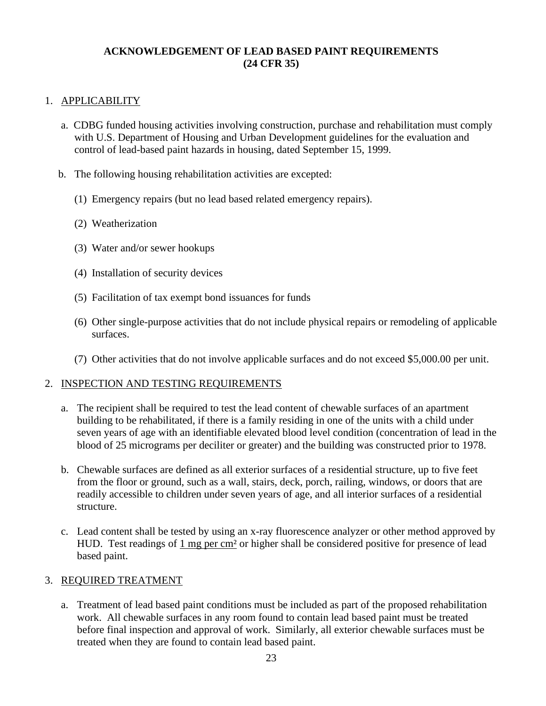#### **ACKNOWLEDGEMENT OF LEAD BASED PAINT REQUIREMENTS (24 CFR 35)**

#### 1. APPLICABILITY

- a. CDBG funded housing activities involving construction, purchase and rehabilitation must comply with U.S. Department of Housing and Urban Development guidelines for the evaluation and control of lead-based paint hazards in housing, dated September 15, 1999.
- b. The following housing rehabilitation activities are excepted:
	- (1) Emergency repairs (but no lead based related emergency repairs).
	- (2) Weatherization
	- (3) Water and/or sewer hookups
	- (4) Installation of security devices
	- (5) Facilitation of tax exempt bond issuances for funds
	- (6) Other single-purpose activities that do not include physical repairs or remodeling of applicable surfaces.
	- (7) Other activities that do not involve applicable surfaces and do not exceed \$5,000.00 per unit.

#### 2. INSPECTION AND TESTING REQUIREMENTS

- a. The recipient shall be required to test the lead content of chewable surfaces of an apartment building to be rehabilitated, if there is a family residing in one of the units with a child under seven years of age with an identifiable elevated blood level condition (concentration of lead in the blood of 25 micrograms per deciliter or greater) and the building was constructed prior to 1978.
- b. Chewable surfaces are defined as all exterior surfaces of a residential structure, up to five feet from the floor or ground, such as a wall, stairs, deck, porch, railing, windows, or doors that are readily accessible to children under seven years of age, and all interior surfaces of a residential structure.
- c. Lead content shall be tested by using an x-ray fluorescence analyzer or other method approved by HUD. Test readings of 1 mg per cm² or higher shall be considered positive for presence of lead based paint.

### 3. REQUIRED TREATMENT

a. Treatment of lead based paint conditions must be included as part of the proposed rehabilitation work. All chewable surfaces in any room found to contain lead based paint must be treated before final inspection and approval of work. Similarly, all exterior chewable surfaces must be treated when they are found to contain lead based paint.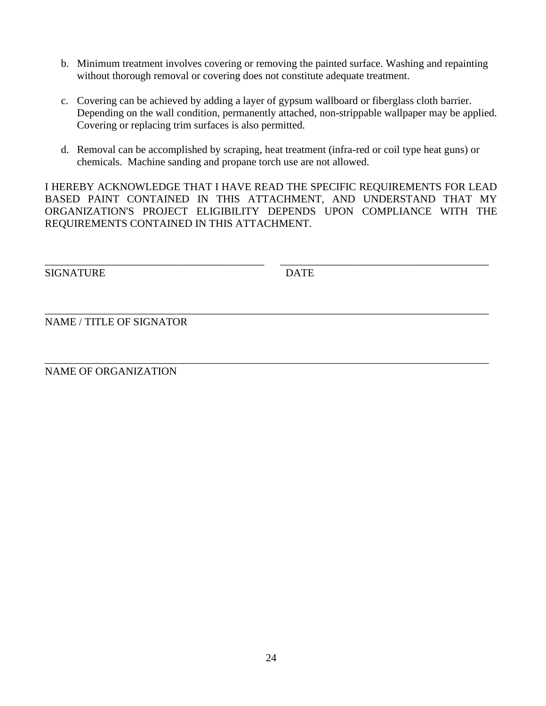- b. Minimum treatment involves covering or removing the painted surface. Washing and repainting without thorough removal or covering does not constitute adequate treatment.
- c. Covering can be achieved by adding a layer of gypsum wallboard or fiberglass cloth barrier. Depending on the wall condition, permanently attached, non-strippable wallpaper may be applied. Covering or replacing trim surfaces is also permitted.
- d. Removal can be accomplished by scraping, heat treatment (infra-red or coil type heat guns) or chemicals. Machine sanding and propane torch use are not allowed.

I HEREBY ACKNOWLEDGE THAT I HAVE READ THE SPECIFIC REQUIREMENTS FOR LEAD BASED PAINT CONTAINED IN THIS ATTACHMENT, AND UNDERSTAND THAT MY ORGANIZATION'S PROJECT ELIGIBILITY DEPENDS UPON COMPLIANCE WITH THE REQUIREMENTS CONTAINED IN THIS ATTACHMENT.

\_\_\_\_\_\_\_\_\_\_\_\_\_\_\_\_\_\_\_\_\_\_\_\_\_\_\_\_\_\_\_\_\_\_\_\_\_\_\_\_\_\_\_\_\_\_\_\_\_\_\_\_\_\_\_\_\_\_\_\_\_\_\_\_\_\_\_\_\_\_\_\_\_\_\_\_\_\_\_\_\_\_\_

\_\_\_\_\_\_\_\_\_\_\_\_\_\_\_\_\_\_\_\_\_\_\_\_\_\_\_\_\_\_\_\_\_\_\_\_\_\_\_\_\_\_\_\_\_\_\_\_\_\_\_\_\_\_\_\_\_\_\_\_\_\_\_\_\_\_\_\_\_\_\_\_\_\_\_\_\_\_\_\_\_\_\_

SIGNATURE DATE

\_\_\_\_\_\_\_\_\_\_\_\_\_\_\_\_\_\_\_\_\_\_\_\_\_\_\_\_\_\_\_\_\_\_\_\_\_\_\_\_\_ \_\_\_\_\_\_\_\_\_\_\_\_\_\_\_\_\_\_\_\_\_\_\_\_\_\_\_\_\_\_\_\_\_\_\_\_\_\_\_

NAME / TITLE OF SIGNATOR

NAME OF ORGANIZATION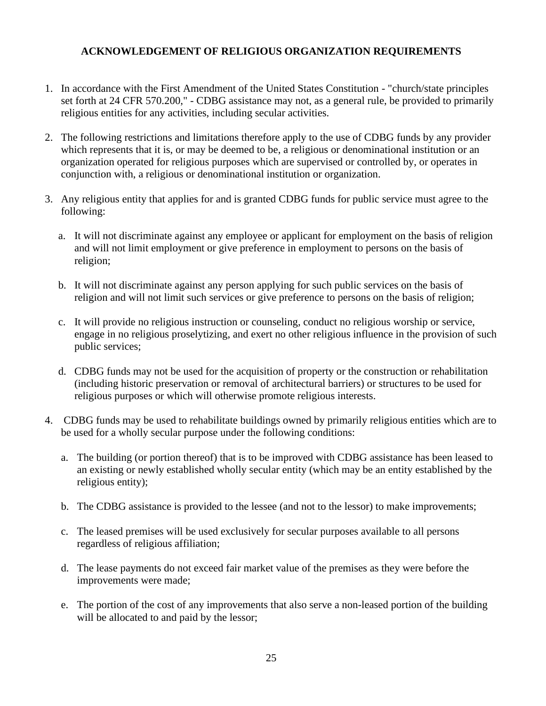## **ACKNOWLEDGEMENT OF RELIGIOUS ORGANIZATION REQUIREMENTS**

- 1. In accordance with the First Amendment of the United States Constitution "church/state principles set forth at 24 CFR 570.200," - CDBG assistance may not, as a general rule, be provided to primarily religious entities for any activities, including secular activities.
- 2. The following restrictions and limitations therefore apply to the use of CDBG funds by any provider which represents that it is, or may be deemed to be, a religious or denominational institution or an organization operated for religious purposes which are supervised or controlled by, or operates in conjunction with, a religious or denominational institution or organization.
- 3. Any religious entity that applies for and is granted CDBG funds for public service must agree to the following:
	- a. It will not discriminate against any employee or applicant for employment on the basis of religion and will not limit employment or give preference in employment to persons on the basis of religion;
	- b. It will not discriminate against any person applying for such public services on the basis of religion and will not limit such services or give preference to persons on the basis of religion;
	- c. It will provide no religious instruction or counseling, conduct no religious worship or service, engage in no religious proselytizing, and exert no other religious influence in the provision of such public services;
	- d. CDBG funds may not be used for the acquisition of property or the construction or rehabilitation (including historic preservation or removal of architectural barriers) or structures to be used for religious purposes or which will otherwise promote religious interests.
- 4. CDBG funds may be used to rehabilitate buildings owned by primarily religious entities which are to be used for a wholly secular purpose under the following conditions:
	- a. The building (or portion thereof) that is to be improved with CDBG assistance has been leased to an existing or newly established wholly secular entity (which may be an entity established by the religious entity);
	- b. The CDBG assistance is provided to the lessee (and not to the lessor) to make improvements;
	- c. The leased premises will be used exclusively for secular purposes available to all persons regardless of religious affiliation;
	- d. The lease payments do not exceed fair market value of the premises as they were before the improvements were made;
	- e. The portion of the cost of any improvements that also serve a non-leased portion of the building will be allocated to and paid by the lessor;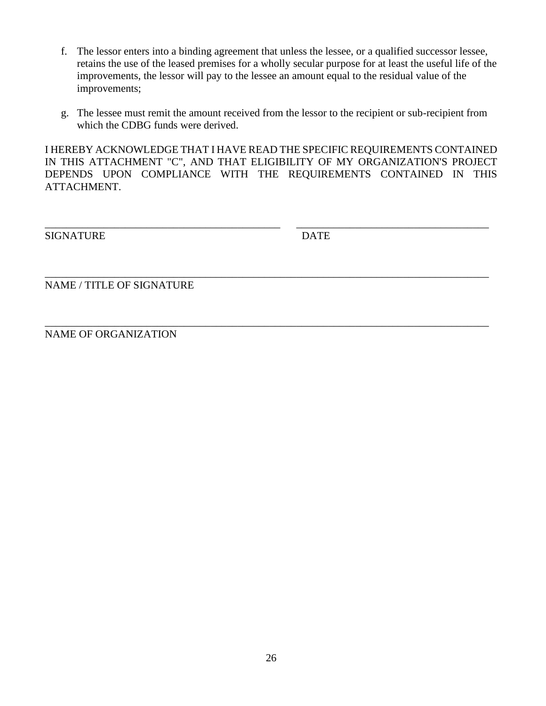- f. The lessor enters into a binding agreement that unless the lessee, or a qualified successor lessee, retains the use of the leased premises for a wholly secular purpose for at least the useful life of the improvements, the lessor will pay to the lessee an amount equal to the residual value of the improvements;
- g. The lessee must remit the amount received from the lessor to the recipient or sub-recipient from which the CDBG funds were derived.

I HEREBY ACKNOWLEDGE THAT I HAVE READ THE SPECIFIC REQUIREMENTS CONTAINED IN THIS ATTACHMENT "C", AND THAT ELIGIBILITY OF MY ORGANIZATION'S PROJECT DEPENDS UPON COMPLIANCE WITH THE REQUIREMENTS CONTAINED IN THIS ATTACHMENT.

\_\_\_\_\_\_\_\_\_\_\_\_\_\_\_\_\_\_\_\_\_\_\_\_\_\_\_\_\_\_\_\_\_\_\_\_\_\_\_\_\_\_\_\_ \_\_\_\_\_\_\_\_\_\_\_\_\_\_\_\_\_\_\_\_\_\_\_\_\_\_\_\_\_\_\_\_\_\_\_\_

\_\_\_\_\_\_\_\_\_\_\_\_\_\_\_\_\_\_\_\_\_\_\_\_\_\_\_\_\_\_\_\_\_\_\_\_\_\_\_\_\_\_\_\_\_\_\_\_\_\_\_\_\_\_\_\_\_\_\_\_\_\_\_\_\_\_\_\_\_\_\_\_\_\_\_\_\_\_\_\_\_\_\_

\_\_\_\_\_\_\_\_\_\_\_\_\_\_\_\_\_\_\_\_\_\_\_\_\_\_\_\_\_\_\_\_\_\_\_\_\_\_\_\_\_\_\_\_\_\_\_\_\_\_\_\_\_\_\_\_\_\_\_\_\_\_\_\_\_\_\_\_\_\_\_\_\_\_\_\_\_\_\_\_\_\_\_

SIGNATURE DATE

NAME / TITLE OF SIGNATURE

NAME OF ORGANIZATION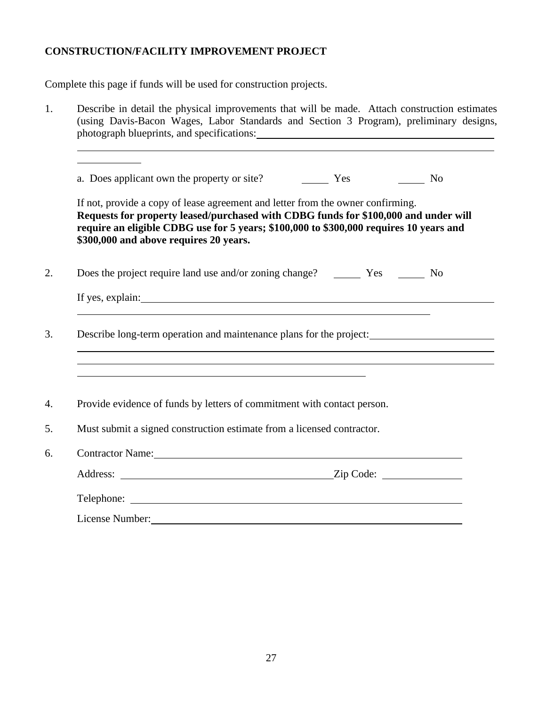### **CONSTRUCTION/FACILITY IMPROVEMENT PROJECT**

Complete this page if funds will be used for construction projects.

- 1. Describe in detail the physical improvements that will be made. Attach construction estimates (using Davis-Bacon Wages, Labor Standards and Section 3 Program), preliminary designs, photograph blueprints, and specifications:
	- a. Does applicant own the property or site? The Yes No

If not, provide a copy of lease agreement and letter from the owner confirming. **Requests for property leased/purchased with CDBG funds for \$100,000 and under will require an eligible CDBG use for 5 years; \$100,000 to \$300,000 requires 10 years and \$300,000 and above requires 20 years.**

2. Does the project require land use and/or zoning change? Yes No

If yes, explain:

3. Describe long-term operation and maintenance plans for the project:

- 4. Provide evidence of funds by letters of commitment with contact person.
- 5. Must submit a signed construction estimate from a licensed contractor.

| 6. | <b>Contractor Name:</b> |  |  |  |  |
|----|-------------------------|--|--|--|--|
|    | Address:                |  |  |  |  |
|    | Telephone:              |  |  |  |  |
|    | License Number:         |  |  |  |  |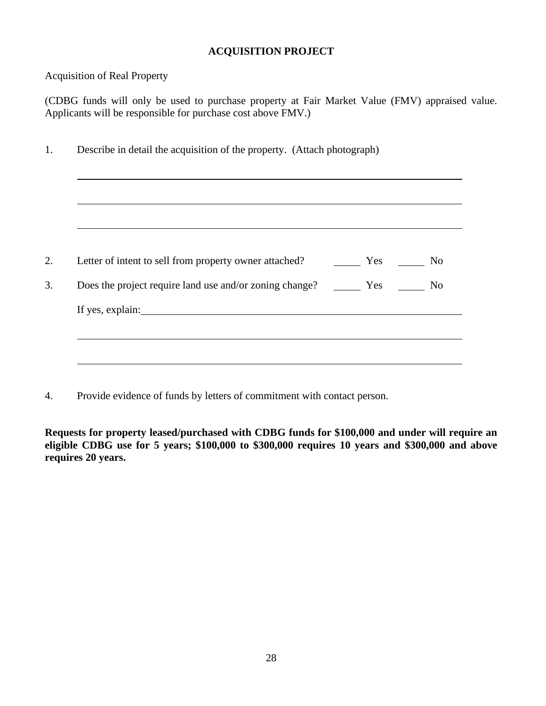### **ACQUISITION PROJECT**

#### Acquisition of Real Property

(CDBG funds will only be used to purchase property at Fair Market Value (FMV) appraised value. Applicants will be responsible for purchase cost above FMV.)

|  |                                                             |  | N <sub>0</sub> |
|--|-------------------------------------------------------------|--|----------------|
|  | Does the project require land use and/or zoning change? Yes |  | N <sub>o</sub> |
|  | If yes, explain:                                            |  |                |

4. Provide evidence of funds by letters of commitment with contact person.

**Requests for property leased/purchased with CDBG funds for \$100,000 and under will require an eligible CDBG use for 5 years; \$100,000 to \$300,000 requires 10 years and \$300,000 and above requires 20 years.**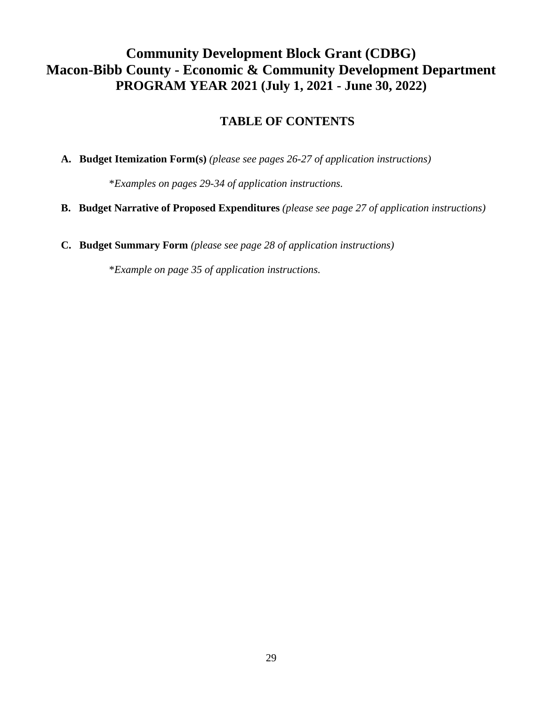# **Community Development Block Grant (CDBG) Macon-Bibb County - Economic & Community Development Department PROGRAM YEAR 2021 (July 1, 2021 - June 30, 2022)**

# **TABLE OF CONTENTS**

**A. Budget Itemization Form(s)** *(please see pages 26-27 of application instructions)*

\**Examples on pages 29-34 of application instructions.*

- **B. Budget Narrative of Proposed Expenditures** *(please see page 27 of application instructions)*
- **C. Budget Summary Form** *(please see page 28 of application instructions)*

\**Example on page 35 of application instructions.*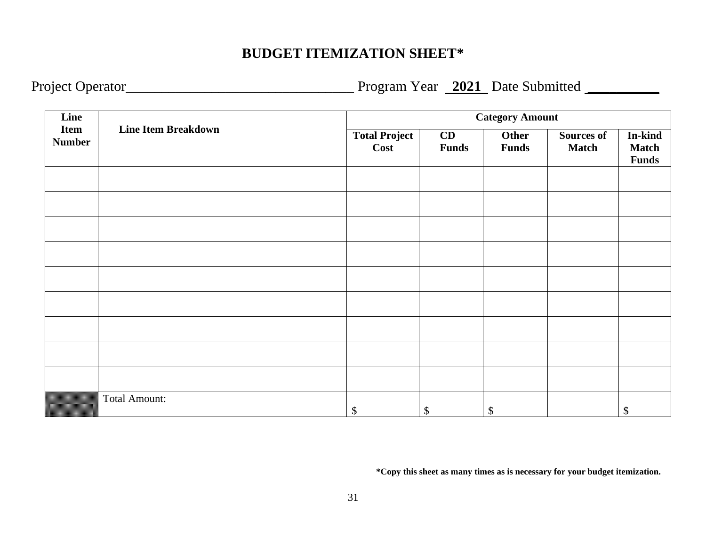# **BUDGET ITEMIZATION SHEET\***

Project Operator\_\_\_\_\_\_\_\_\_\_\_\_\_\_\_\_\_\_\_\_\_\_\_\_\_\_\_\_\_\_\_\_ Program Year **2021** Date Submitted **\_\_\_\_\_\_\_\_\_\_** 

| Line                  | <b>Line Item Breakdown</b> | <b>Category Amount</b>       |                            |                       |                                   |                                         |  |
|-----------------------|----------------------------|------------------------------|----------------------------|-----------------------|-----------------------------------|-----------------------------------------|--|
| Item<br><b>Number</b> |                            | <b>Total Project</b><br>Cost | CD<br><b>Funds</b>         | Other<br><b>Funds</b> | <b>Sources of</b><br><b>Match</b> | In-kind<br><b>Match</b><br><b>Funds</b> |  |
|                       |                            |                              |                            |                       |                                   |                                         |  |
|                       |                            |                              |                            |                       |                                   |                                         |  |
|                       |                            |                              |                            |                       |                                   |                                         |  |
|                       |                            |                              |                            |                       |                                   |                                         |  |
|                       |                            |                              |                            |                       |                                   |                                         |  |
|                       |                            |                              |                            |                       |                                   |                                         |  |
|                       |                            |                              |                            |                       |                                   |                                         |  |
|                       |                            |                              |                            |                       |                                   |                                         |  |
|                       |                            |                              |                            |                       |                                   |                                         |  |
|                       | <b>Total Amount:</b>       | \$                           | $\boldsymbol{\mathsf{\$}}$ | \$                    |                                   | $\boldsymbol{\mathsf{S}}$               |  |

**\*Copy this sheet as many times as is necessary for your budget itemization.**